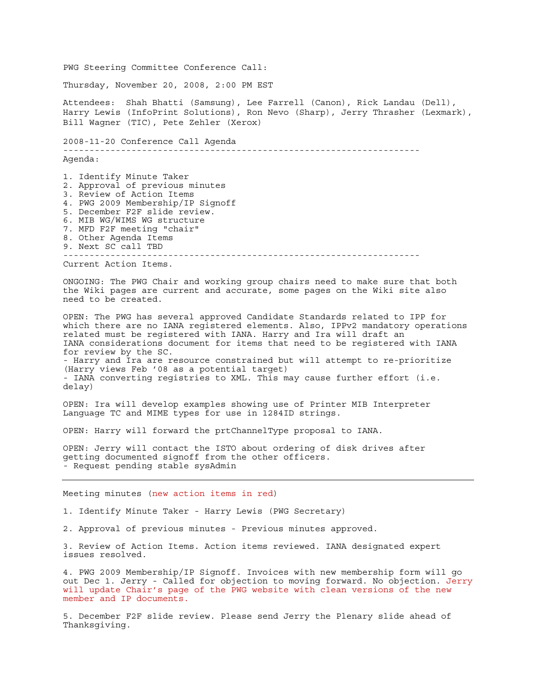PWG Steering Committee Conference Call: Thursday, November 20, 2008, 2:00 PM EST Attendees: Shah Bhatti (Samsung), Lee Farrell (Canon), Rick Landau (Dell), Harry Lewis (InfoPrint Solutions), Ron Nevo (Sharp), Jerry Thrasher (Lexmark), Bill Wagner (TIC), Pete Zehler (Xerox) 2008-11-20 Conference Call Agenda -------------------------------------------------------------------- Agenda: 1. Identify Minute Taker 2. Approval of previous minutes 3. Review of Action Items 4. PWG 2009 Membership/IP Signoff 5. December F2F slide review. 6. MIB WG/WIMS WG structure 7. MFD F2F meeting "chair" 8. Other Agenda Items 9. Next SC call TBD -------------------------------------------------------------------- Current Action Items. ONGOING: The PWG Chair and working group chairs need to make sure that both the Wiki pages are current and accurate, some pages on the Wiki site also need to be created. OPEN: The PWG has several approved Candidate Standards related to IPP for which there are no IANA registered elements. Also, IPPv2 mandatory operations related must be registered with IANA. Harry and Ira will draft an IANA considerations document for items that need to be registered with IANA for review by the SC. - Harry and Ira are resource constrained but will attempt to re-prioritize (Harry views Feb '08 as a potential target) - IANA converting registries to XML. This may cause further effort (i.e. delay) OPEN: Ira will develop examples showing use of Printer MIB Interpreter Language TC and MIME types for use in 1284ID strings. OPEN: Harry will forward the prtChannelType proposal to IANA. OPEN: Jerry will contact the ISTO about ordering of disk drives after getting documented signoff from the other officers. - Request pending stable sysAdmin Meeting minutes (new action items in red) 1. Identify Minute Taker - Harry Lewis (PWG Secretary) 2. Approval of previous minutes - Previous minutes approved. 3. Review of Action Items. Action items reviewed. IANA designated expert issues resolved. 4. PWG 2009 Membership/IP Signoff. Invoices with new membership form will go out Dec 1. Jerry - Called for objection to moving forward. No objection. Jerry will update Chair's page of the PWG website with clean versions of the new member and IP documents.

5. December F2F slide review. Please send Jerry the Plenary slide ahead of Thanksgiving.